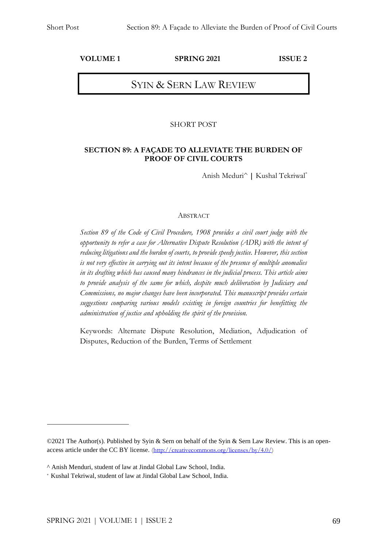#### **VOLUME 1 SPRING 2021 ISSUE 2**

# SYIN & SERN LAW REVIEW

#### SHORT POST

#### **SECTION 89: A FAÇADE TO ALLEVIATE THE BURDEN OF PROOF OF CIVIL COURTS**

Anish Meduri^ **|** Kushal Tekriwal\*

#### ABSTRACT

*Section 89 of the Code of Civil Procedure, 1908 provides a civil court judge with the opportunity to refer a case for Alternative Dispute Resolution (ADR) with the intent of reducing litigations and the burden of courts, to provide speedy justice. However, this section is not very effective in carrying out its intent because of the presence of multiple anomalies in its drafting which has caused many hindrances in the judicial process. This article aims to provide analysis of the same for which, despite much deliberation by Judiciary and Commissions, no major changes have been incorporated. This manuscript provides certain suggestions comparing various models existing in foreign countries for benefitting the administration of justice and upholding the spirit of the provision.*

Keywords: Alternate Dispute Resolution, Mediation, Adjudication of Disputes, Reduction of the Burden, Terms of Settlement

<sup>©2021</sup> The Author(s). Published by Syin & Sern on behalf of the Syin & Sern Law Review. This is an openaccess article under the CC BY license. [\(http://creativecommons.org/licenses/by/4.0/\)](http://creativecommons.org/licenses/by/4.0/)

<sup>^</sup> Anish Menduri, student of law at Jindal Global Law School, India.

<sup>\*</sup> Kushal Tekriwal, student of law at Jindal Global Law School, India.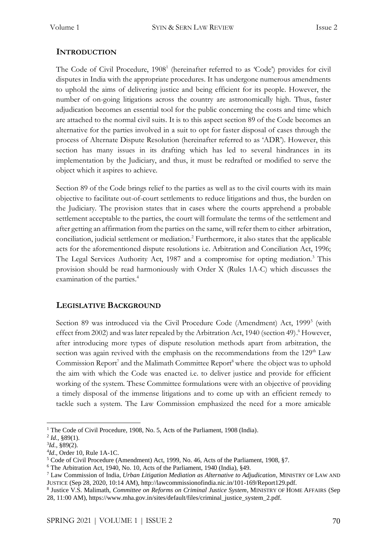## **INTRODUCTION**

The Code of Civil Procedure, 1908<sup>1</sup> (hereinafter referred to as 'Code') provides for civil disputes in India with the appropriate procedures. It has undergone numerous amendments to uphold the aims of delivering justice and being efficient for its people. However, the number of on-going litigations across the country are astronomically high. Thus, faster adjudication becomes an essential tool for the public concerning the costs and time which are attached to the normal civil suits. It is to this aspect section 89 of the Code becomes an alternative for the parties involved in a suit to opt for faster disposal of cases through the process of Alternate Dispute Resolution (hereinafter referred to as 'ADR'). However, this section has many issues in its drafting which has led to several hindrances in its implementation by the Judiciary, and thus, it must be redrafted or modified to serve the object which it aspires to achieve.

Section 89 of the Code brings relief to the parties as well as to the civil courts with its main objective to facilitate out-of-court settlements to reduce litigations and thus, the burden on the Judiciary. The provision states that in cases where the courts apprehend a probable settlement acceptable to the parties, the court will formulate the terms of the settlement and after getting an affirmation from the parties on the same, will refer them to either arbitration, conciliation, judicial settlement or mediation.<sup>2</sup> Furthermore, it also states that the applicable acts for the aforementioned dispute resolutions i.e. Arbitration and Conciliation Act, 1996; The Legal Services Authority Act, 1987 and a compromise for opting mediation.<sup>3</sup> This provision should be read harmoniously with Order X (Rules 1A-C) which discusses the examination of the parties.<sup>4</sup>

## **LEGISLATIVE BACKGROUND**

Section 89 was introduced via the Civil Procedure Code (Amendment) Act, 1999<sup>5</sup> (with effect from 2002) and was later repealed by the Arbitration Act, 1940 (section 49). <sup>6</sup> However, after introducing more types of dispute resolution methods apart from arbitration, the section was again revived with the emphasis on the recommendations from the  $129<sup>th</sup>$  Law Commission Report<sup>7</sup> and the Malimath Committee Report<sup>8</sup> where the object was to uphold the aim with which the Code was enacted i.e. to deliver justice and provide for efficient working of the system. These Committee formulations were with an objective of providing a timely disposal of the immense litigations and to come up with an efficient remedy to tackle such a system. The Law Commission emphasized the need for a more amicable

<sup>&</sup>lt;sup>1</sup> The Code of Civil Procedure, 1908, No. 5, Acts of the Parliament, 1908 (India).

 $^{2}$  *Id.*, §89(1).

<sup>3</sup> *Id.,* §89(2).

<sup>4</sup> *Id*., Order 10, Rule 1A-1C.

<sup>5</sup> Code of Civil Procedure (Amendment) Act, 1999, No. 46, Acts of the Parliament, 1908, §7.

<sup>6</sup> The Arbitration Act, 1940, No. 10, Acts of the Parliament, 1940 (India), §49.

<sup>7</sup> Law Commission of India, *Urban Litigation Mediation as Alternative to Adjudication*, MINISTRY OF LAW AND JUSTICE (Sep 28, 2020, 10:14 AM), http://lawcommissionofindia.nic.in/101-169/Report129.pdf.

<sup>8</sup> Justice V.S. Malimath, *Committee on Reforms on Criminal Justice System*, MINISTRY OF HOME AFFAIRS (Sep 28, 11:00 AM), https://www.mha.gov.in/sites/default/files/criminal\_justice\_system\_2.pdf.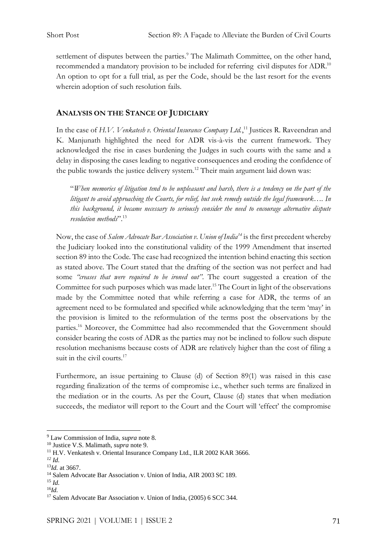settlement of disputes between the parties.<sup>9</sup> The Malimath Committee, on the other hand, recommended a mandatory provision to be included for referring civil disputes for ADR.<sup>10</sup> An option to opt for a full trial, as per the Code, should be the last resort for the events wherein adoption of such resolution fails.

## **ANALYSIS ON THE STANCE OF JUDICIARY**

In the case of *H.V. Venkatesh v. Oriental Insurance Company Ltd.*,<sup>11</sup> Justices R. Raveendran and K. Manjunath highlighted the need for ADR vis-à-vis the current framework. They acknowledged the rise in cases burdening the Judges in such courts with the same and a delay in disposing the cases leading to negative consequences and eroding the confidence of the public towards the justice delivery system.<sup>12</sup> Their main argument laid down was:

"*When memories of litigation tend to be unpleasant and harsh, there is a tendency on the part of the litigant to avoid approaching the Courts, for relief, but seek remedy outside the legal framework…. In this background, it became necessary to seriously consider the need to encourage alternative dispute resolution methods*". 13

Now, the case of *Salem Advocate Bar Association v. Union of India<sup>14</sup>* is the first precedent whereby the Judiciary looked into the constitutional validity of the 1999 Amendment that inserted section 89 into the Code. The case had recognized the intention behind enacting this section as stated above. The Court stated that the drafting of the section was not perfect and had some *"creases that were required to be ironed out"*. The court suggested a creation of the Committee for such purposes which was made later.<sup>15</sup> The Court in light of the observations made by the Committee noted that while referring a case for ADR, the terms of an agreement need to be formulated and specified while acknowledging that the term 'may' in the provision is limited to the reformulation of the terms post the observations by the parties.<sup>16</sup> Moreover, the Committee had also recommended that the Government should consider bearing the costs of ADR as the parties may not be inclined to follow such dispute resolution mechanisms because costs of ADR are relatively higher than the cost of filing a suit in the civil courts.<sup>17</sup>

Furthermore, an issue pertaining to Clause (d) of Section 89(1) was raised in this case regarding finalization of the terms of compromise i.e., whether such terms are finalized in the mediation or in the courts. As per the Court, Clause (d) states that when mediation succeeds, the mediator will report to the Court and the Court will 'effect' the compromise

<sup>9</sup> Law Commission of India, *supra* note 8.

<sup>10</sup> Justice V.S. Malimath, *supra* note 9.

<sup>&</sup>lt;sup>11</sup> H.V. Venkatesh v. Oriental Insurance Company Ltd., ILR 2002 KAR 3666.

*<sup>12</sup> Id.*

<sup>13</sup>*Id.* at 3667.

<sup>14</sup> Salem Advocate Bar Association v. Union of India, AIR 2003 SC 189.

<sup>15</sup> *Id.*

<sup>16</sup>*Id.*

<sup>&</sup>lt;sup>17</sup> Salem Advocate Bar Association v. Union of India, (2005) 6 SCC 344.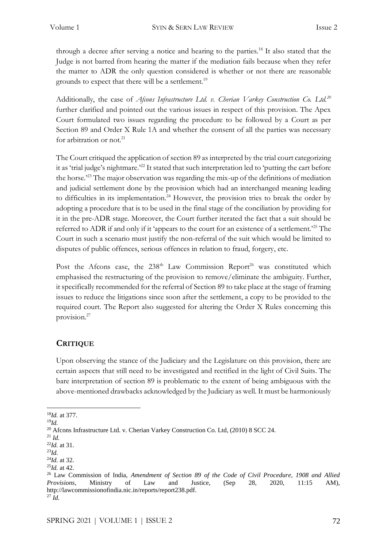through a decree after serving a notice and hearing to the parties.<sup>18</sup> It also stated that the Judge is not barred from hearing the matter if the mediation fails because when they refer the matter to ADR the only question considered is whether or not there are reasonable grounds to expect that there will be a settlement.<sup>19</sup>

Additionally, the case of *Afcons Infrastructure Ltd. v. Cherian Varkey Construction Co. Ltd.<sup>20</sup>* further clarified and pointed out the various issues in respect of this provision. The Apex Court formulated two issues regarding the procedure to be followed by a Court as per Section 89 and Order X Rule 1A and whether the consent of all the parties was necessary for arbitration or not.<sup>21</sup>

The Court critiqued the application of section 89 as interpreted by the trial court categorizing it as 'trial judge's nightmare.'<sup>22</sup> It stated that such interpretation led to 'putting the cart before the horse.'<sup>23</sup> The major observation was regarding the mix-up of the definitions of mediation and judicial settlement done by the provision which had an interchanged meaning leading to difficulties in its implementation.<sup>24</sup> However, the provision tries to break the order by adopting a procedure that is to be used in the final stage of the conciliation by providing for it in the pre-ADR stage. Moreover, the Court further iterated the fact that a suit should be referred to ADR if and only if it 'appears to the court for an existence of a settlement.'<sup>25</sup> The Court in such a scenario must justify the non-referral of the suit which would be limited to disputes of public offences, serious offences in relation to fraud, forgery, etc.

Post the Afcons case, the  $238<sup>th</sup>$  Law Commission Report<sup>26</sup> was constituted which emphasised the restructuring of the provision to remove/eliminate the ambiguity. Further, it specifically recommended for the referral of Section 89 to take place at the stage of framing issues to reduce the litigations since soon after the settlement, a copy to be provided to the required court. The Report also suggested for altering the Order X Rules concerning this provision.<sup>27</sup>

## **CRITIQUE**

Upon observing the stance of the Judiciary and the Legislature on this provision, there are certain aspects that still need to be investigated and rectified in the light of Civil Suits. The bare interpretation of section 89 is problematic to the extent of being ambiguous with the above-mentioned drawbacks acknowledged by the Judiciary as well. It must be harmoniously

<sup>18</sup>*Id.* at 377.

<sup>19</sup>*Id.*

<sup>&</sup>lt;sup>20</sup> Afcons Infrastructure Ltd. v. Cherian Varkey Construction Co. Ltd, (2010) 8 SCC 24.

<sup>21</sup> *Id.*

<sup>22</sup>*Id.* at 31.

<sup>23</sup>*Id.* 

<sup>24</sup>*Id.* at 32. <sup>25</sup>*Id.* at 42.

<sup>26</sup> Law Commission of India, *Amendment of Section 89 of the Code of Civil Procedure, 1908 and Allied Provisions*, Ministry of Law and Justice, (Sep 28, 2020, 11:15 AM), http://lawcommissionofindia.nic.in/reports/report238.pdf.  $^{27}$  *Id.*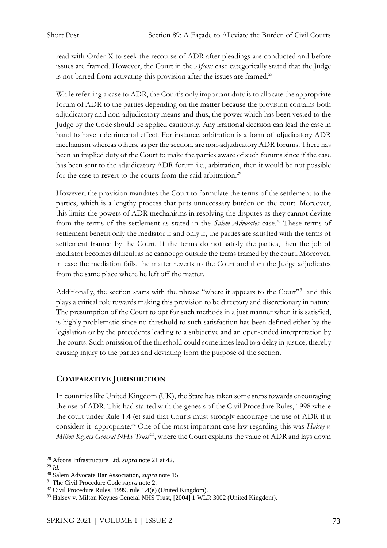read with Order X to seek the recourse of ADR after pleadings are conducted and before issues are framed. However, the Court in the *Afcons* case categorically stated that the Judge is not barred from activating this provision after the issues are framed.<sup>28</sup>

While referring a case to ADR, the Court's only important duty is to allocate the appropriate forum of ADR to the parties depending on the matter because the provision contains both adjudicatory and non-adjudicatory means and thus, the power which has been vested to the Judge by the Code should be applied cautiously. Any irrational decision can lead the case in hand to have a detrimental effect. For instance, arbitration is a form of adjudicatory ADR mechanism whereas others, as per the section, are non-adjudicatory ADR forums. There has been an implied duty of the Court to make the parties aware of such forums since if the case has been sent to the adjudicatory ADR forum i.e., arbitration, then it would be not possible for the case to revert to the courts from the said arbitration.<sup>29</sup>

However, the provision mandates the Court to formulate the terms of the settlement to the parties, which is a lengthy process that puts unnecessary burden on the court. Moreover, this limits the powers of ADR mechanisms in resolving the disputes as they cannot deviate from the terms of the settlement as stated in the *Salem Advocates* case.<sup>30</sup> These terms of settlement benefit only the mediator if and only if, the parties are satisfied with the terms of settlement framed by the Court. If the terms do not satisfy the parties, then the job of mediator becomes difficult as he cannot go outside the terms framed by the court. Moreover, in case the mediation fails, the matter reverts to the Court and then the Judge adjudicates from the same place where he left off the matter.

Additionally, the section starts with the phrase "where it appears to the Court"<sup>31</sup> and this plays a critical role towards making this provision to be directory and discretionary in nature. The presumption of the Court to opt for such methods in a just manner when it is satisfied, is highly problematic since no threshold to such satisfaction has been defined either by the legislation or by the precedents leading to a subjective and an open-ended interpretation by the courts. Such omission of the threshold could sometimes lead to a delay in justice; thereby causing injury to the parties and deviating from the purpose of the section.

## **COMPARATIVE JURISDICTION**

In countries like United Kingdom (UK), the State has taken some steps towards encouraging the use of ADR. This had started with the genesis of the Civil Procedure Rules, 1998 where the court under Rule 1.4 (e) said that Courts must strongly encourage the use of ADR if it considers it appropriate.<sup>32</sup> One of the most important case law regarding this was *Halsey v*. Milton Keynes General NHS Trust<sup>33</sup>, where the Court explains the value of ADR and lays down

<sup>28</sup> Afcons Infrastructure Ltd. *supra* note 21 at 42.

 $^{29}$  *Id.* 

<sup>30</sup> Salem Advocate Bar Association, *supra* note 15.

<sup>31</sup> The Civil Procedure Code *supra* note 2.

<sup>32</sup> Civil Procedure Rules, 1999, rule 1.4(e) (United Kingdom).

<sup>33</sup> Halsey v. Milton Keynes General NHS Trust, [2004] 1 WLR 3002 (United Kingdom).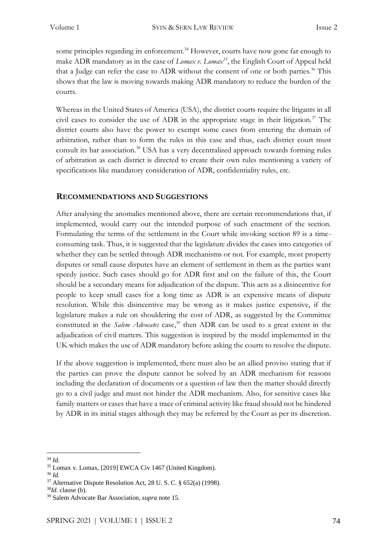some principles regarding its enforcement.<sup>34</sup> However, courts have now gone far enough to make ADR mandatory as in the case of *Lomax v. Lomax<sup>35</sup>*, the English Court of Appeal held that a Judge can refer the case to ADR without the consent of one or both parties.<sup>36</sup> This shows that the law is moving towards making ADR mandatory to reduce the burden of the courts.

Whereas in the United States of America (USA), the district courts require the litigants in all civil cases to consider the use of ADR in the appropriate stage in their litigation.<sup>37</sup> The district courts also have the power to exempt some cases from entering the domain of arbitration, rather than to form the rules in this case and thus, each district court must consult its bar association.<sup>38</sup> USA has a very decentralized approach towards forming rules of arbitration as each district is directed to create their own rules mentioning a variety of specifications like mandatory consideration of ADR, confidentiality rules, etc.

#### **RECOMMENDATIONS AND SUGGESTIONS**

After analysing the anomalies mentioned above, there are certain recommendations that, if implemented, would carry out the intended purpose of such enactment of the section. Formulating the terms of the settlement in the Court while invoking section 89 is a timeconsuming task. Thus, it is suggested that the legislature divides the cases into categories of whether they can be settled through ADR mechanisms or not. For example, most property disputes or small cause disputes have an element of settlement in them as the parties want speedy justice. Such cases should go for ADR first and on the failure of this, the Court should be a secondary means for adjudication of the dispute. This acts as a disincentive for people to keep small cases for a long time as ADR is an expensive means of dispute resolution. While this disincentive may be wrong as it makes justice expensive, if the legislature makes a rule on shouldering the cost of ADR, as suggested by the Committee constituted in the *Salem Advocates* case,<sup>39</sup> then ADR can be used to a great extent in the adjudication of civil matters. This suggestion is inspired by the model implemented in the UK which makes the use of ADR mandatory before asking the courts to resolve the dispute.

If the above suggestion is implemented, there must also be an allied proviso stating that if the parties can prove the dispute cannot be solved by an ADR mechanism for reasons including the declaration of documents or a question of law then the matter should directly go to a civil judge and must not hinder the ADR mechanism. Also, for sensitive cases like family matters or cases that have a trace of criminal activity like fraud should not be hindered by ADR in its initial stages although they may be referred by the Court as per its discretion.

<sup>34</sup> *Id.* 

<sup>35</sup> Lomax v. Lomax, [2019] EWCA Civ 1467 (United Kingdom).

 $36$  *Id.* 

<sup>37</sup> Alternative Dispute Resolution Act, 28 U. S. C. § 652(a) (1998).

<sup>38</sup>*Id.* clause (b).

<sup>39</sup> Salem Advocate Bar Association, *supra* note 15.